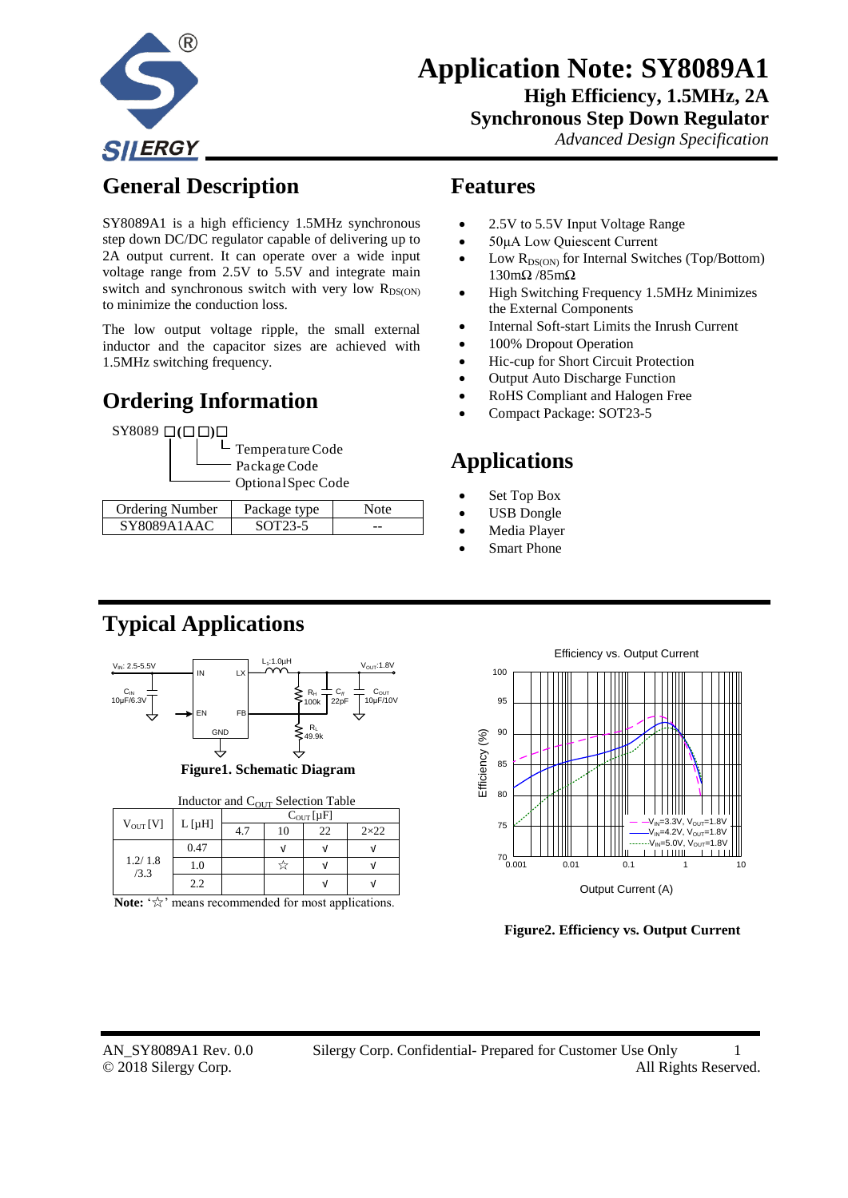

## **Application Note: SY8089A1 High Efficiency, 1.5MHz, 2A**

**Synchronous Step Down Regulator**

*Advanced Design Specification*

## **General Description**

SY8089A1 is a high efficiency 1.5MHz synchronous step down DC/DC regulator capable of delivering up to 2A output current. It can operate over a wide input voltage range from 2.5V to 5.5V and integrate main switch and synchronous switch with very low  $R_{DS(ON)}$ to minimize the conduction loss.

The low output voltage ripple, the small external inductor and the capacitor sizes are achieved with 1.5MHz switching frequency.

## **Ordering Information**

SY8089 □**(**□□**)**□

Package Code  $\perp$  Temperature Code

Optional Spec Code

| <b>Ordering Number</b> | Package type | Note |
|------------------------|--------------|------|
| SY8089A1AAC            | SOT23-5      | --   |

#### **Features**

- 2.5V to 5.5V Input Voltage Range
- 50μA Low Quiescent Current
- Low  $R_{DS(ON)}$  for Internal Switches (Top/Bottom) 130mΩ /85mΩ
- High Switching Frequency 1.5MHz Minimizes the External Components
- Internal Soft-start Limits the Inrush Current
- 100% Dropout Operation
- Hic-cup for Short Circuit Protection
- Output Auto Discharge Function
- RoHS Compliant and Halogen Free
- Compact Package: SOT23-5

### **Applications**

- Set Top Box
- USB Dongle
- Media Player
- Smart Phone

## **Typical Applications**



**Figure1. Schematic Diagram**

| Inductor and $C_{\text{OUT}}$ Selection Table |            |                             |    |    |               |  |  |
|-----------------------------------------------|------------|-----------------------------|----|----|---------------|--|--|
|                                               | $L[\mu H]$ | $C_{\text{OUT}}$ [ $\mu$ F] |    |    |               |  |  |
| $V_{\text{OUT}}[V]$                           |            | 4.7                         | 10 | 22 | $2 \times 22$ |  |  |
|                                               | 0.47       |                             |    |    |               |  |  |
| 1.2/1.8<br>/3.3                               | 1.0        |                             |    |    |               |  |  |
|                                               | 2.2        |                             |    |    |               |  |  |

 **Note:** '☆' means recommended for most applications.



**Figure2. Efficiency vs. Output Current**

AN\_SY8089A1 Rev. 0.0 Silergy Corp. Confidential- Prepared for Customer Use Only 1 © 2018 Silergy Corp. All Rights Reserved.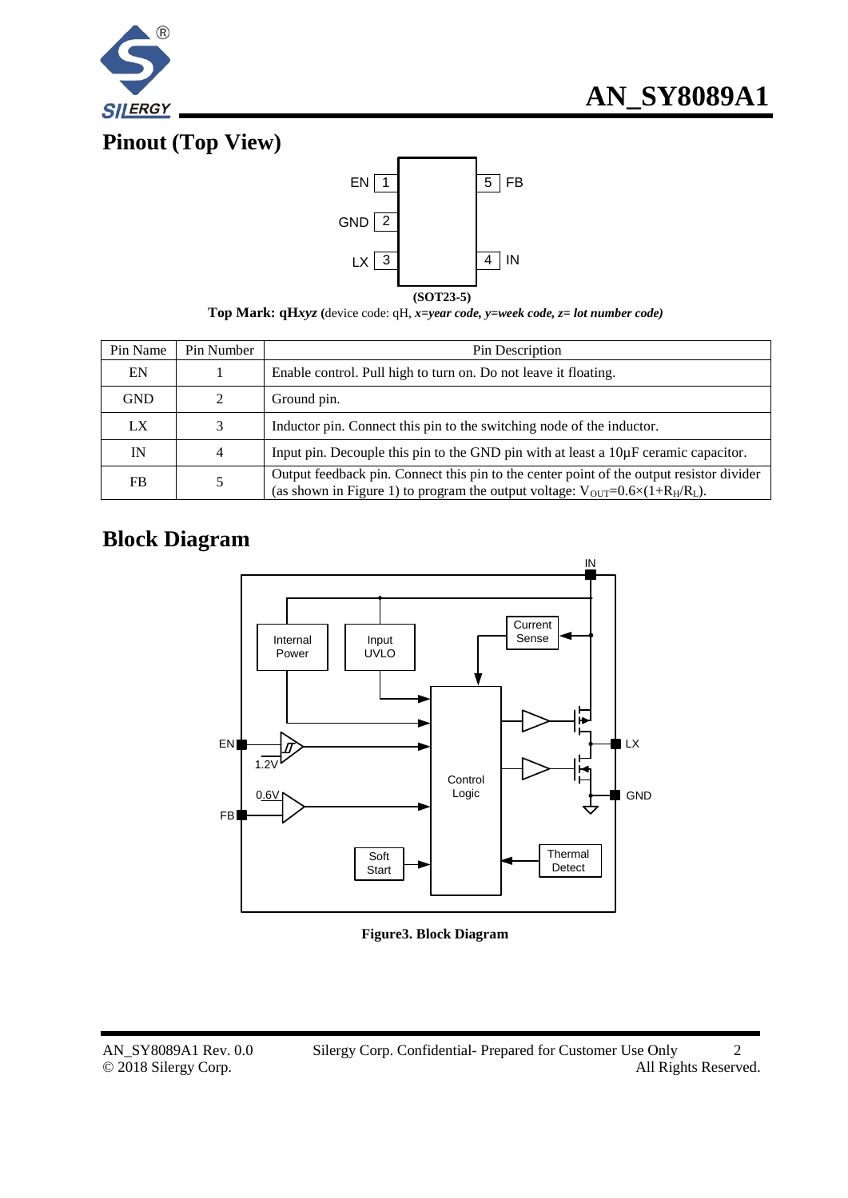

## **Pinout (Top View)**



**Top Mark: qH***xyz* **(**device code: qH, *x=year code, y=week code, z= lot number code)*

| Pin Name   | Pin Number | Pin Description                                                                                                                                                                                             |
|------------|------------|-------------------------------------------------------------------------------------------------------------------------------------------------------------------------------------------------------------|
| EN         |            | Enable control. Pull high to turn on. Do not leave it floating.                                                                                                                                             |
| <b>GND</b> |            | Ground pin.                                                                                                                                                                                                 |
| LX         |            | Inductor pin. Connect this pin to the switching node of the inductor.                                                                                                                                       |
| IN         | 4          | Input pin. Decouple this pin to the GND pin with at least a $10 \mu$ F ceramic capacitor.                                                                                                                   |
| FB.        |            | Output feedback pin. Connect this pin to the center point of the output resistor divider<br>(as shown in Figure 1) to program the output voltage: $V_{\text{OUT}}=0.6\times(1+R_{\text{H}}/R_{\text{I}})$ . |

### **Block Diagram**



#### **Figure3. Block Diagram**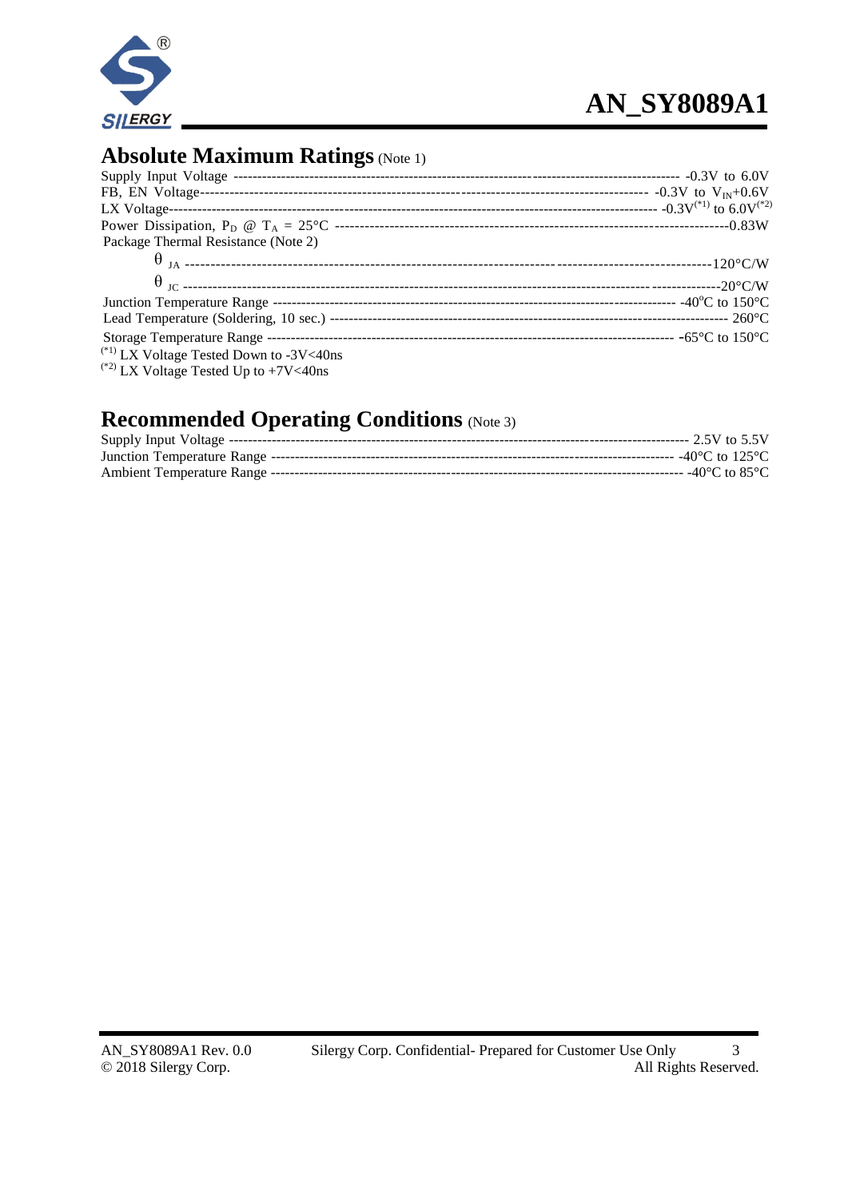

### **Absolute Maximum Ratings** (Note 1)

| Package Thermal Resistance (Note 2)          |  |
|----------------------------------------------|--|
|                                              |  |
|                                              |  |
|                                              |  |
|                                              |  |
|                                              |  |
| $^{(*1)}$ LX Voltage Tested Down to -3V<40ns |  |
| $^{(*)}$ LX Voltage Tested Up to +7V<40ns    |  |

## **Recommended Operating Conditions** (Note 3)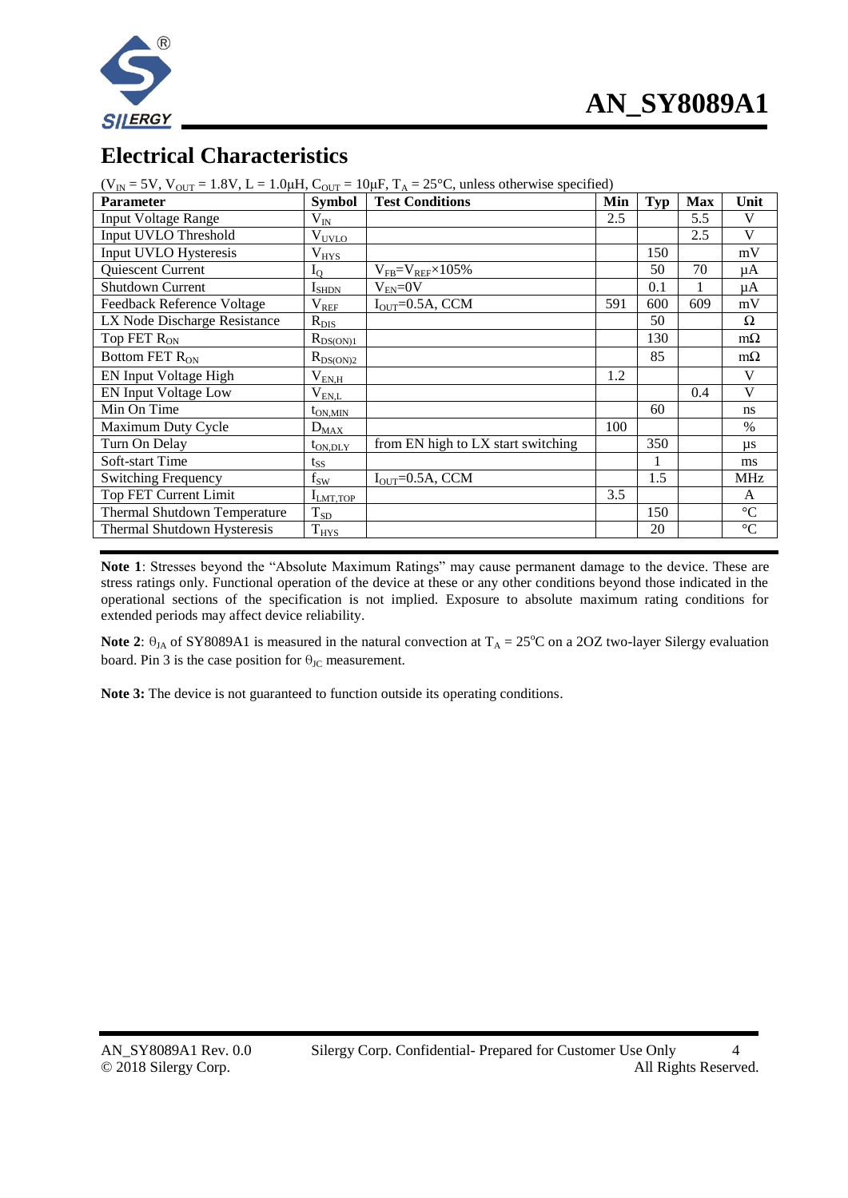

### **Electrical Characteristics**

| <b>Parameter</b>             | <b>Symbol</b>        | $V_{\text{IN}} = 3V$ , $V_{\text{OUT}} = 1.0V$ , $L = 1.0\mu\text{H}$ , $V_{\text{OUT}} = 10\mu\text{H}$ , $I_{\text{A}} = 25V$ , unicss otherwise specified)<br><b>Test Conditions</b> | Min | <b>Typ</b> | <b>Max</b> | Unit           |
|------------------------------|----------------------|-----------------------------------------------------------------------------------------------------------------------------------------------------------------------------------------|-----|------------|------------|----------------|
| <b>Input Voltage Range</b>   | $\rm V_{IN}$         |                                                                                                                                                                                         | 2.5 |            | 5.5        | V              |
| Input UVLO Threshold         | $V_{U$               |                                                                                                                                                                                         |     |            | 2.5        | V              |
| Input UVLO Hysteresis        | $V_{HYS}$            |                                                                                                                                                                                         |     | 150        |            | mV             |
| Quiescent Current            | $I_{\rm O}$          | $V_{FB} = V_{REF} \times 105\%$                                                                                                                                                         |     | 50         | 70         | μA             |
| <b>Shutdown Current</b>      | $I_{\rm SHDN}$       | $V_{EN}=0V$                                                                                                                                                                             |     | 0.1        | 1          | μA             |
| Feedback Reference Voltage   | $\rm V_{REF}$        | $IOUT=0.5A, CCM$                                                                                                                                                                        | 591 | 600        | 609        | mV             |
| LX Node Discharge Resistance | $R_{DIS}$            |                                                                                                                                                                                         |     | 50         |            | Ω              |
| Top FET $R_{ON}$             | $R_{DS(ON)1}$        |                                                                                                                                                                                         |     | 130        |            | $m\Omega$      |
| Bottom FET R <sub>ON</sub>   | $R_{DS(ON)2}$        |                                                                                                                                                                                         |     | 85         |            | $m\Omega$      |
| EN Input Voltage High        | $\rm V_{\rm EM, H}$  |                                                                                                                                                                                         | 1.2 |            |            | V              |
| <b>EN Input Voltage Low</b>  | $\rm V_{\rm EM,L}$   |                                                                                                                                                                                         |     |            | 0.4        | V              |
| Min On Time                  | $t_{ON,MIN}$         |                                                                                                                                                                                         |     | 60         |            | ns             |
| Maximum Duty Cycle           | $D_{MAX}$            |                                                                                                                                                                                         | 100 |            |            | $\%$           |
| Turn On Delay                | $t_{ON,DLY}$         | from EN high to LX start switching                                                                                                                                                      |     | 350        |            | $\mu s$        |
| Soft-start Time              | $t_{SS}$             |                                                                                                                                                                                         |     |            |            | ms             |
| <b>Switching Frequency</b>   | $f_{SW}$             | $IOUT=0.5A, CCM$                                                                                                                                                                        |     | 1.5        |            | <b>MHz</b>     |
| Top FET Current Limit        | I <sub>LMT,TOP</sub> |                                                                                                                                                                                         | 3.5 |            |            | A              |
| Thermal Shutdown Temperature | $T_{SD}$             |                                                                                                                                                                                         |     | 150        |            | $\mathfrak{C}$ |
| Thermal Shutdown Hysteresis  | T <sub>HYS</sub>     |                                                                                                                                                                                         |     | 20         |            | $\mathbbm{C}$  |

 $(V_{\text{in}} = 5V, V_{\text{out}} = 1.8V, L = 1.0$ uH,  $C_{\text{out}} = 10$ uF, T $L = 25$ °C, unless otherwise specified)

**Note 1**: Stresses beyond the "Absolute Maximum Ratings" may cause permanent damage to the device. These are stress ratings only. Functional operation of the device at these or any other conditions beyond those indicated in the operational sections of the specification is not implied. Exposure to absolute maximum rating conditions for extended periods may affect device reliability.

**Note 2**:  $\theta_{JA}$  of SY8089A1 is measured in the natural convection at T<sub>A</sub> = 25<sup>o</sup>C on a 2OZ two-layer Silergy evaluation board. Pin 3 is the case position for  $\Theta_{\text{JC}}$  measurement.

**Note 3:** The device is not guaranteed to function outside its operating conditions.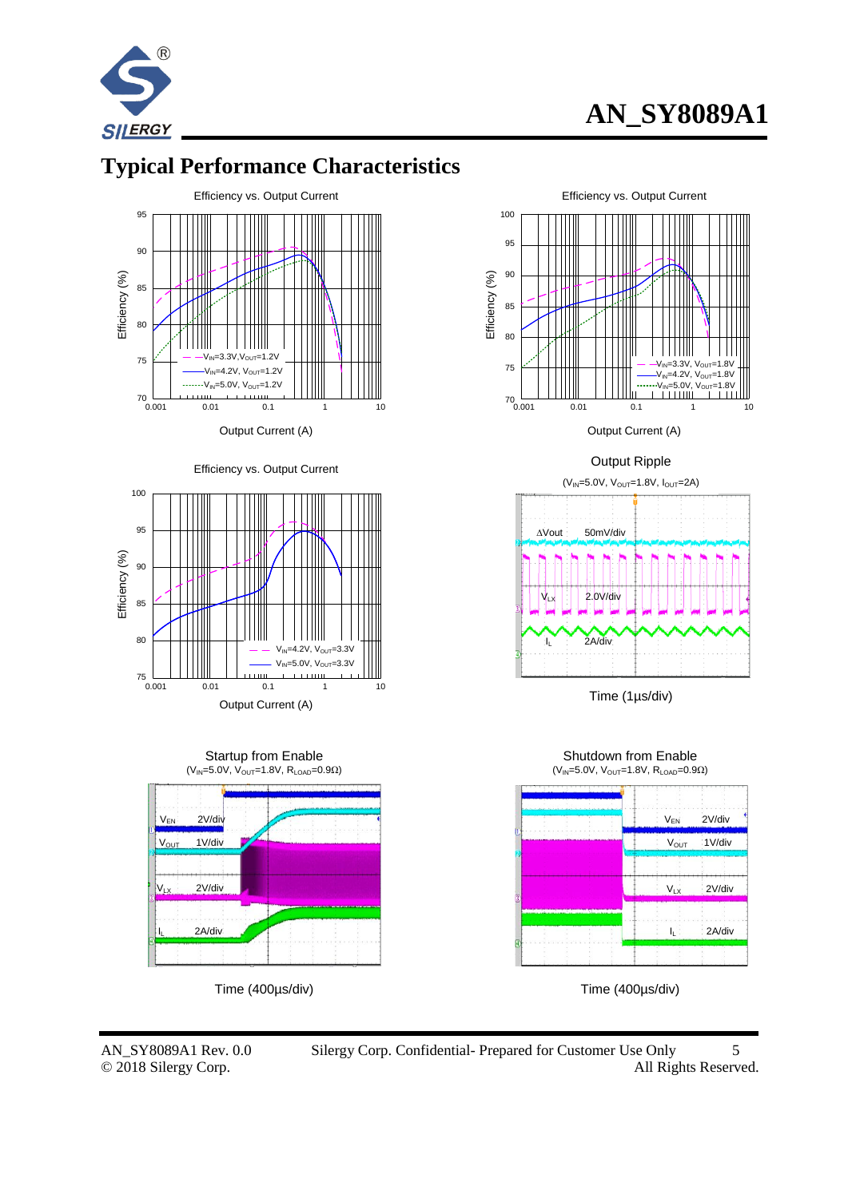

### **Typical Performance Characteristics**













Time (400µs/div)







Time (1µs/div)





Time (400µs/div)

AN\_SY8089A1 Rev. 0.0 Silergy Corp. Confidential- Prepared for Customer Use Only 5 © 2018 Silergy Corp. All Rights Reserved.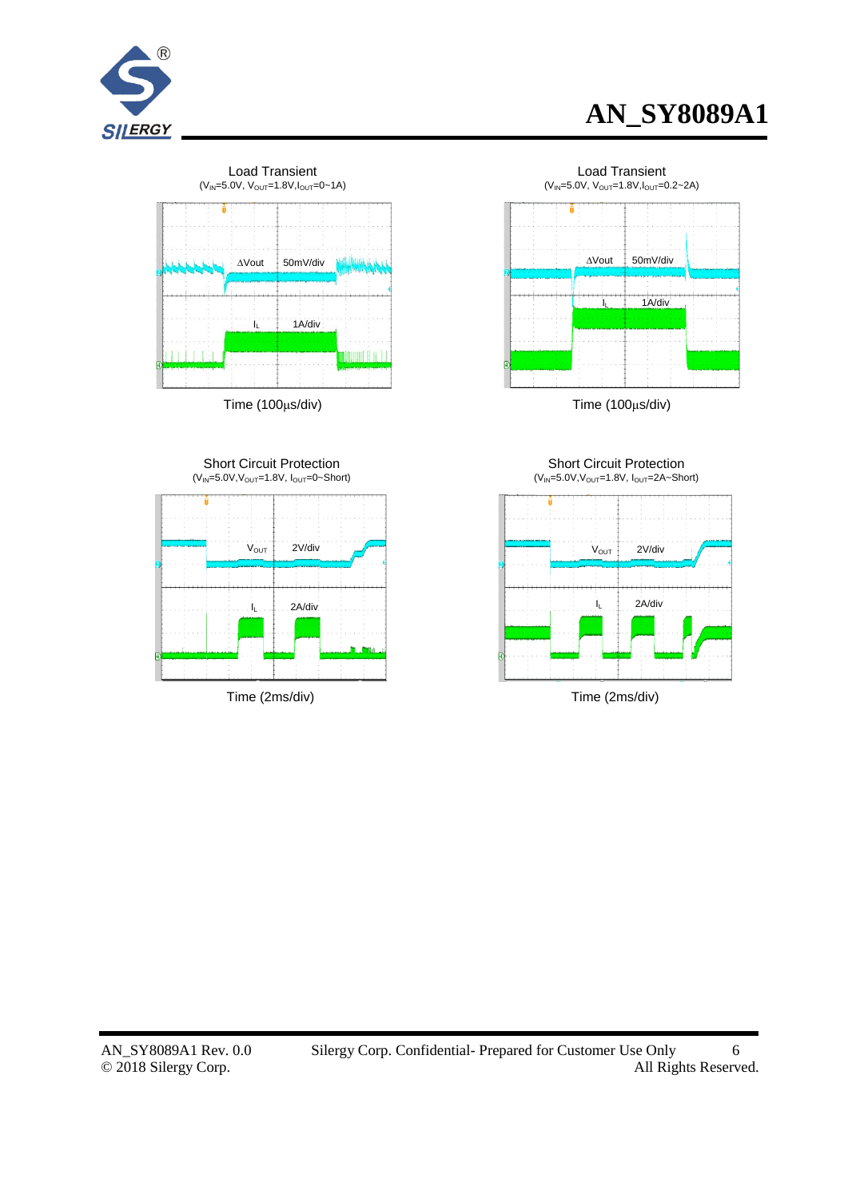



Time (100μs/div)

Load Transient  $(V_{\text{IN}}=5.0V, V_{\text{OUT}}=1.8V, I_{\text{OUT}}=0.2~2A)$ ň



Time (100μs/div)

Short Circuit Protection  $(V_{IN} = 5.0V, V_{OUT} = 1.8V, I_{OUT} = 2A - Short)$ 



Time (2ms/div)

Short Circuit Protection  $(V_{IN} = 5.0V, V_{OUT} = 1.8V, I_{OUT} = 0.5$ hort) Time (2ms/div)  $V_{\rm OUT}$  2V/div  $V_{\rm OUT}$  2A/div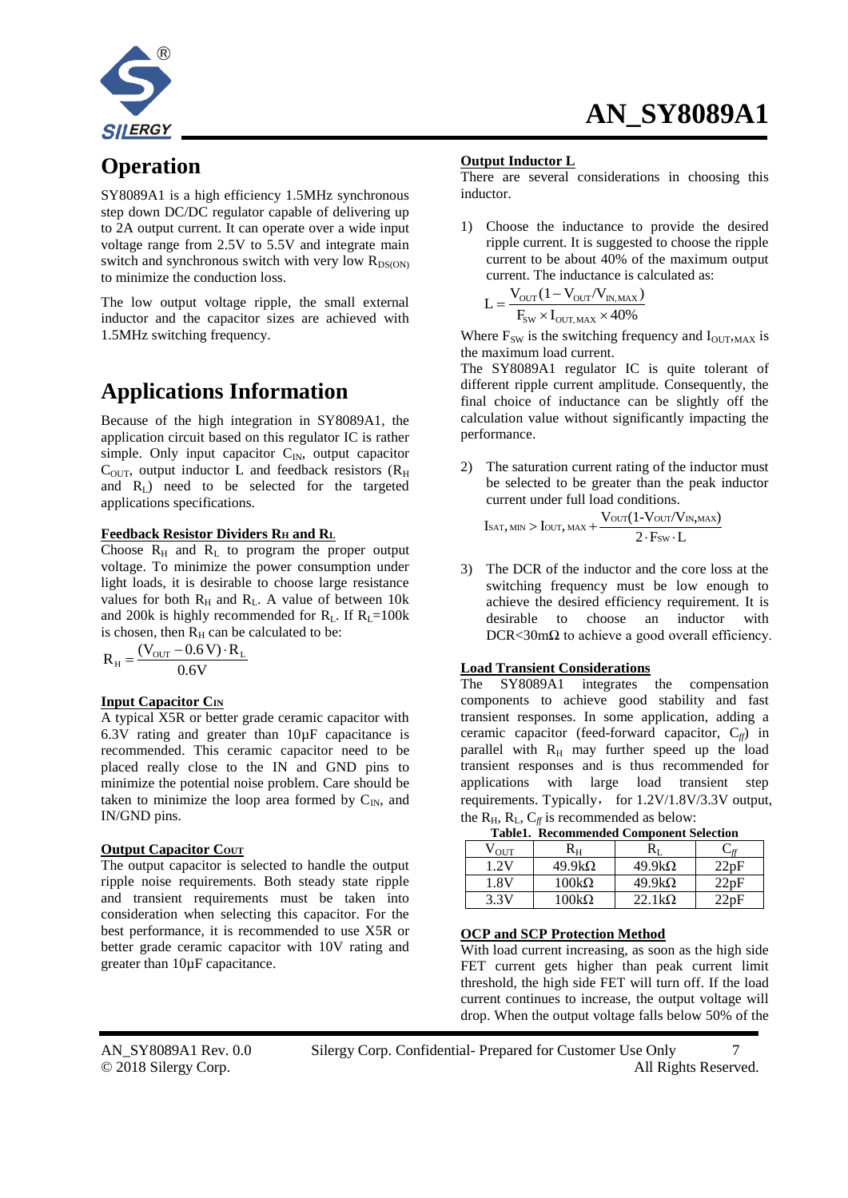

## **Operation**

SY8089A1 is a high efficiency 1.5MHz synchronous step down DC/DC regulator capable of delivering up to 2A output current. It can operate over a wide input voltage range from 2.5V to 5.5V and integrate main switch and synchronous switch with very low  $R_{DS(ON)}$ to minimize the conduction loss.

The low output voltage ripple, the small external inductor and the capacitor sizes are achieved with 1.5MHz switching frequency.

### **Applications Information**

Because of the high integration in SY8089A1, the application circuit based on this regulator IC is rather simple. Only input capacitor  $C_{\text{IN}}$ , output capacitor  $C<sub>OUT</sub>$ , output inductor L and feedback resistors ( $R<sub>H</sub>$ ) and  $R<sub>L</sub>$ ) need to be selected for the targeted applications specifications.

#### **Feedback Resistor Dividers R<sup>H</sup> and R<sup>L</sup>**

Choose  $R_H$  and  $R_L$  to program the proper output voltage. To minimize the power consumption under light loads, it is desirable to choose large resistance values for both  $R_H$  and  $R_L$ . A value of between 10k and 200k is highly recommended for  $R_L$ . If  $R_L$ =100k is chosen, then  $R_H$  can be calculated to be:

$$
R_{\rm H} = \frac{(V_{\rm OUT} - 0.6\,\rm V) \cdot R_{\rm L}}{0.6\,\rm V}
$$

#### **Input Capacitor CIN**

A typical X5R or better grade ceramic capacitor with 6.3V rating and greater than  $10 \mu$ F capacitance is recommended. This ceramic capacitor need to be placed really close to the IN and GND pins to minimize the potential noise problem. Care should be taken to minimize the loop area formed by  $C_{\text{IN}}$ , and IN/GND pins.

#### **Output Capacitor COUT**

The output capacitor is selected to handle the output ripple noise requirements. Both steady state ripple and transient requirements must be taken into consideration when selecting this capacitor. For the best performance, it is recommended to use X5R or better grade ceramic capacitor with 10V rating and greater than 10µF capacitance.

#### **Output Inductor L**

There are several considerations in choosing this inductor.

1) Choose the inductance to provide the desired ripple current. It is suggested to choose the ripple current to be about 40% of the maximum output current. The inductance is calculated as:

$$
L = \frac{V_{\text{OUT}}(1 - V_{\text{OUT}}/V_{\text{IN, MAX}})}{F_{\text{SW}} \times I_{\text{OUT, MAX}} \times 40\%}
$$

Where  $F_{SW}$  is the switching frequency and  $I_{\text{OUT,MAX}}$  is the maximum load current.

The SY8089A1 regulator IC is quite tolerant of different ripple current amplitude. Consequently, the final choice of inductance can be slightly off the calculation value without significantly impacting the performance.

2) The saturation current rating of the inductor must be selected to be greater than the peak inductor current under full load conditions.

$$
I_{\text{SAT, MIN}} > I_{\text{OUT, MAX}} + \frac{V_{\text{OUT}}(1 - V_{\text{OUT}}/V_{\text{IN, MAX}})}{2 \cdot F_{\text{SW}} \cdot L}
$$

3) The DCR of the inductor and the core loss at the switching frequency must be low enough to achieve the desired efficiency requirement. It is desirable to choose an inductor with DCR<30m $\Omega$  to achieve a good overall efficiency.

#### **Load Transient Considerations**

The SY8089A1 integrates the compensation components to achieve good stability and fast transient responses. In some application, adding a ceramic capacitor (feed-forward capacitor,  $C_f$ ) in parallel with  $R_H$  may further speed up the load transient responses and is thus recommended for applications with large load transient step requirements. Typically, for 1.2V/1.8V/3.3V output, the  $R_H$ ,  $R_L$ ,  $C_f$  is recommended as below:

**Table1. Recommended Component Selection**

| таріст, тесепінісниси соніронені эсіссибн |               |                    |      |  |  |  |  |
|-------------------------------------------|---------------|--------------------|------|--|--|--|--|
| V <sub>out</sub>                          | Kн            |                    |      |  |  |  |  |
| 1.2V                                      | $49.9k\Omega$ | $49.9k\Omega$      | 2pF  |  |  |  |  |
| 1.8V                                      | 100kΩ         | $49.9k\Omega$      | 22pF |  |  |  |  |
| 3.3V                                      | 100kΩ         | 22.1k <sub>2</sub> | 22nF |  |  |  |  |

#### **OCP and SCP Protection Method**

With load current increasing, as soon as the high side FET current gets higher than peak current limit threshold, the high side FET will turn off. If the load current continues to increase, the output voltage will drop. When the output voltage falls below 50% of the

AN\_SY8089A1 Rev. 0.0 Silergy Corp. Confidential- Prepared for Customer Use Only 7 © 2018 Silergy Corp. All Rights Reserved.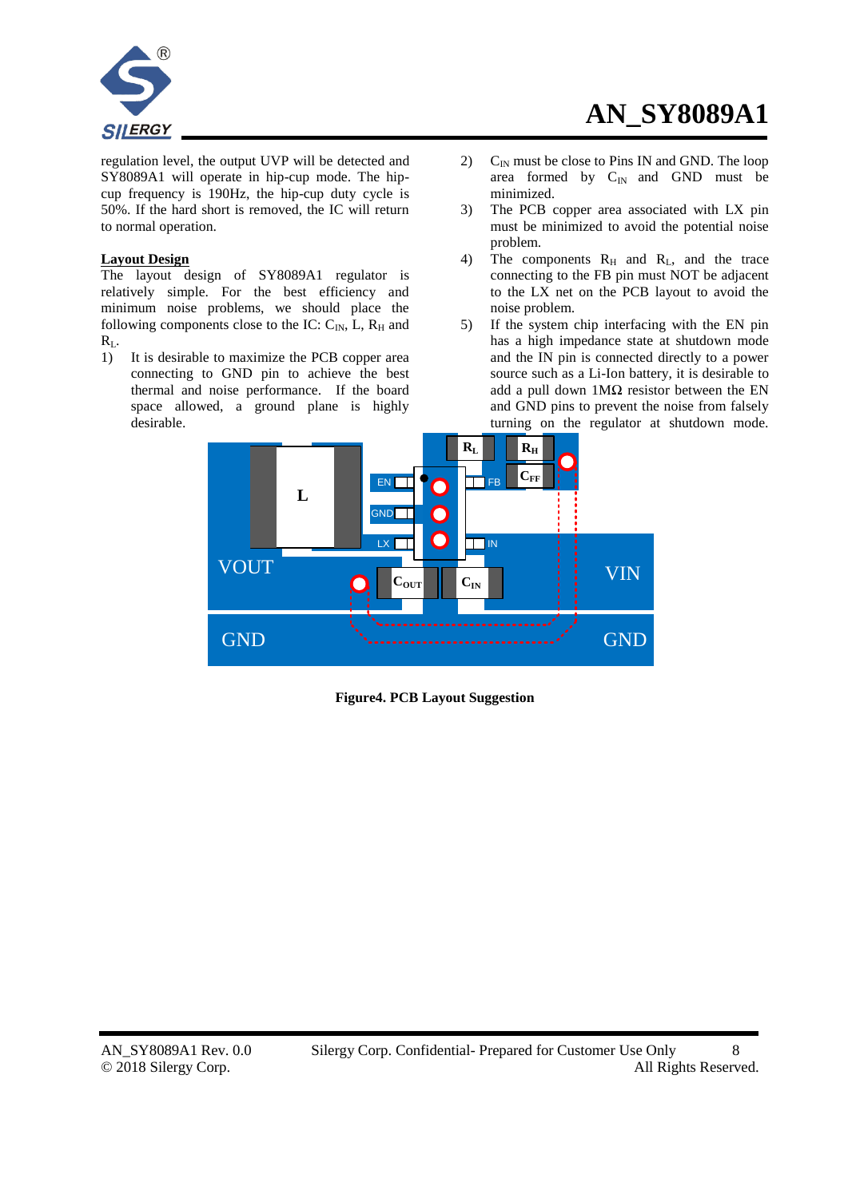

regulation level, the output UVP will be detected and SY8089A1 will operate in hip-cup mode. The hipcup frequency is 190Hz, the hip-cup duty cycle is 50%. If the hard short is removed, the IC will return to normal operation.

#### **Layout Design**

The layout design of SY8089A1 regulator is relatively simple. For the best efficiency and minimum noise problems, we should place the following components close to the IC:  $C_{IN}$ , L, R<sub>H</sub> and  $R_L$ .

1) It is desirable to maximize the PCB copper area connecting to GND pin to achieve the best thermal and noise performance. If the board space allowed, a ground plane is highly desirable.

- 2)  $C_{\text{IN}}$  must be close to Pins IN and GND. The loop area formed by  $C_{\text{IN}}$  and GND must be minimized.
- 3) The PCB copper area associated with LX pin must be minimized to avoid the potential noise problem.
- 4) The components  $R_H$  and  $R_L$ , and the trace connecting to the FB pin must NOT be adjacent to the LX net on the PCB layout to avoid the noise problem.
- 5) If the system chip interfacing with the EN pin has a high impedance state at shutdown mode and the IN pin is connected directly to a power source such as a Li-Ion battery, it is desirable to add a pull down  $1\text{M}\Omega$  resistor between the EN and GND pins to prevent the noise from falsely turning on the regulator at shutdown mode.



**Figure4. PCB Layout Suggestion**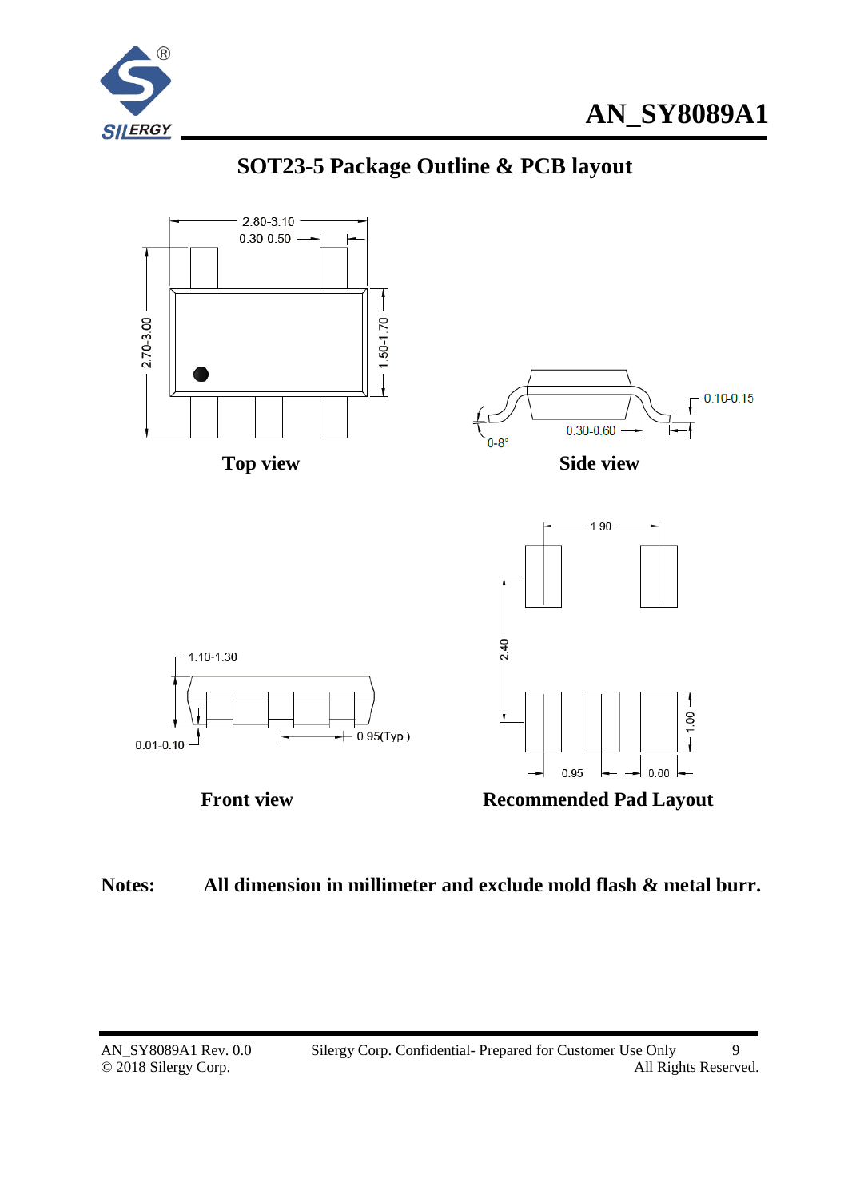